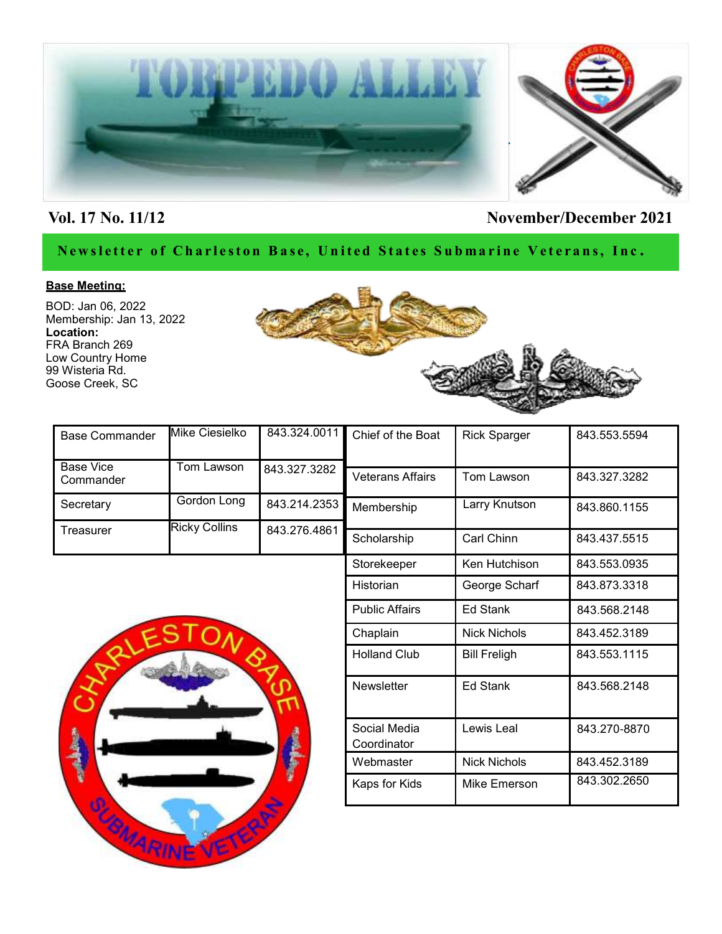

#### **Vol. 17 No. 11/12 November/December 2021**

#### Newsletter of Charleston Base, United States Submarine Veterans, Inc.

#### **Base Meeting:**

BOD: Jan 06, 2022 Membership: Jan 13, 2022 **Location:** FRA Branch 269 Low Country Home 99 Wisteria Rd. Goose Creek, SC



| <b>Base Commander</b>         | Mike Ciesielko       | 843.324.0011 | Chief of the Boat       | <b>Rick Sparger</b> | 843.553.5594 |
|-------------------------------|----------------------|--------------|-------------------------|---------------------|--------------|
|                               |                      |              |                         |                     |              |
| <b>Base Vice</b><br>Commander | Tom Lawson           | 843.327.3282 | <b>Veterans Affairs</b> | Tom Lawson          | 843.327.3282 |
|                               |                      |              |                         |                     |              |
| Secretary                     | Gordon Long          | 843.214.2353 | Membership              | Larry Knutson       | 843.860.1155 |
|                               | <b>Ricky Collins</b> |              |                         |                     |              |
| Treasurer                     |                      | 843.276.4861 | Scholarship             | Carl Chinn          | 843.437.5515 |
|                               |                      |              | Storekeeper             | Ken Hutchison       | 843.553.0935 |



| Membership                  | Larry Knutson       | 843.860.1155 |
|-----------------------------|---------------------|--------------|
| Scholarship                 | Carl Chinn          | 843.437.5515 |
| Storekeeper                 | Ken Hutchison       | 843.553.0935 |
| Historian                   | George Scharf       | 843.873.3318 |
| <b>Public Affairs</b>       | Ed Stank            | 843.568.2148 |
| Chaplain                    | <b>Nick Nichols</b> | 843.452.3189 |
| <b>Holland Club</b>         | Bill Freligh        | 843.553.1115 |
| <b>Newsletter</b>           | <b>Ed Stank</b>     | 843.568.2148 |
| Social Media<br>Coordinator | Lewis Leal          | 843.270-8870 |
| Webmaster                   | <b>Nick Nichols</b> | 843.452.3189 |
| Kaps for Kids               | Mike Emerson        | 843.302.2650 |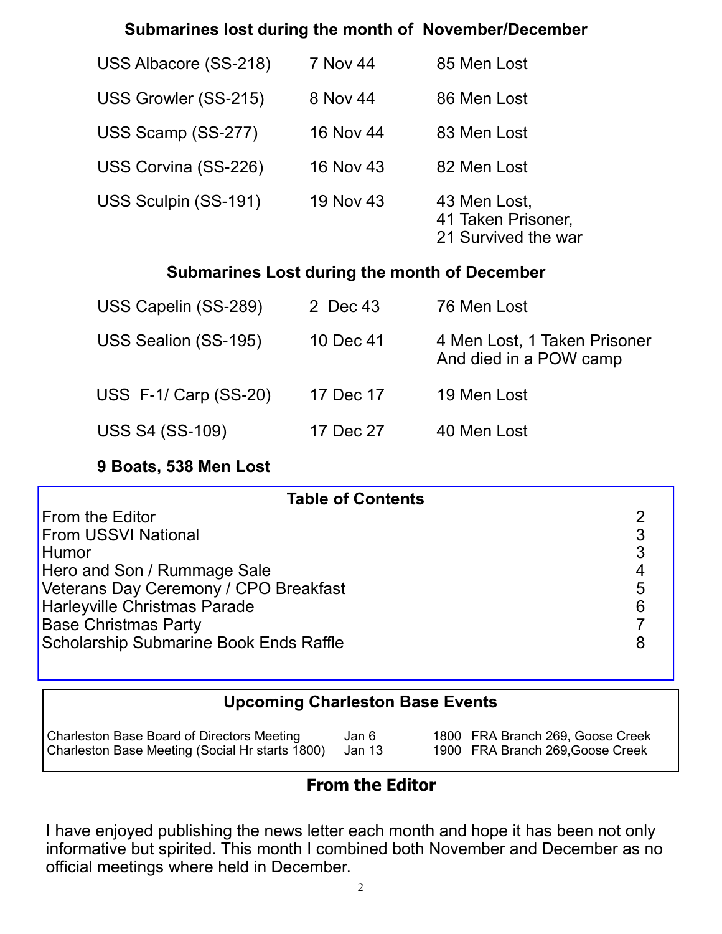### **Submarines lost during the month of November/December**

| USS Albacore (SS-218) | 7 Nov 44  | 85 Men Lost                                               |
|-----------------------|-----------|-----------------------------------------------------------|
| USS Growler (SS-215)  | 8 Nov 44  | 86 Men Lost                                               |
| USS Scamp (SS-277)    | 16 Nov 44 | 83 Men Lost                                               |
| USS Corvina (SS-226)  | 16 Nov 43 | 82 Men Lost                                               |
| USS Sculpin (SS-191)  | 19 Nov 43 | 43 Men Lost,<br>41 Taken Prisoner,<br>21 Survived the war |

#### **Submarines Lost during the month of December**

| USS Capelin (SS-289)  | 2 Dec 43  | 76 Men Lost                                            |
|-----------------------|-----------|--------------------------------------------------------|
| USS Sealion (SS-195)  | 10 Dec 41 | 4 Men Lost, 1 Taken Prisoner<br>And died in a POW camp |
| USS $F-1/Carp(SS-20)$ | 17 Dec 17 | 19 Men Lost                                            |
| USS S4 (SS-109)       | 17 Dec 27 | 40 Men Lost                                            |

#### **9 Boats, 538 Men Lost**

| <b>Table of Contents</b>                      |   |  |
|-----------------------------------------------|---|--|
| <b>From the Editor</b>                        |   |  |
| <b>From USSVI National</b>                    |   |  |
| <b>Humor</b>                                  | 3 |  |
| Hero and Son / Rummage Sale                   |   |  |
| Veterans Day Ceremony / CPO Breakfast         | 5 |  |
| Harleyville Christmas Parade                  |   |  |
| <b>Base Christmas Party</b>                   |   |  |
| <b>Scholarship Submarine Book Ends Raffle</b> |   |  |
|                                               |   |  |

### **Upcoming Charleston Base Events**

| Charleston Base Board of Directors Meeting      | Jan 6  | 1800 FRA Branch 269, Goose Creek |
|-------------------------------------------------|--------|----------------------------------|
| Charleston Base Meeting (Social Hr starts 1800) | Jan 13 | 1900 FRA Branch 269, Goose Creek |

## **From the Editor**

I have enjoyed publishing the news letter each month and hope it has been not only informative but spirited. This month I combined both November and December as no official meetings where held in December.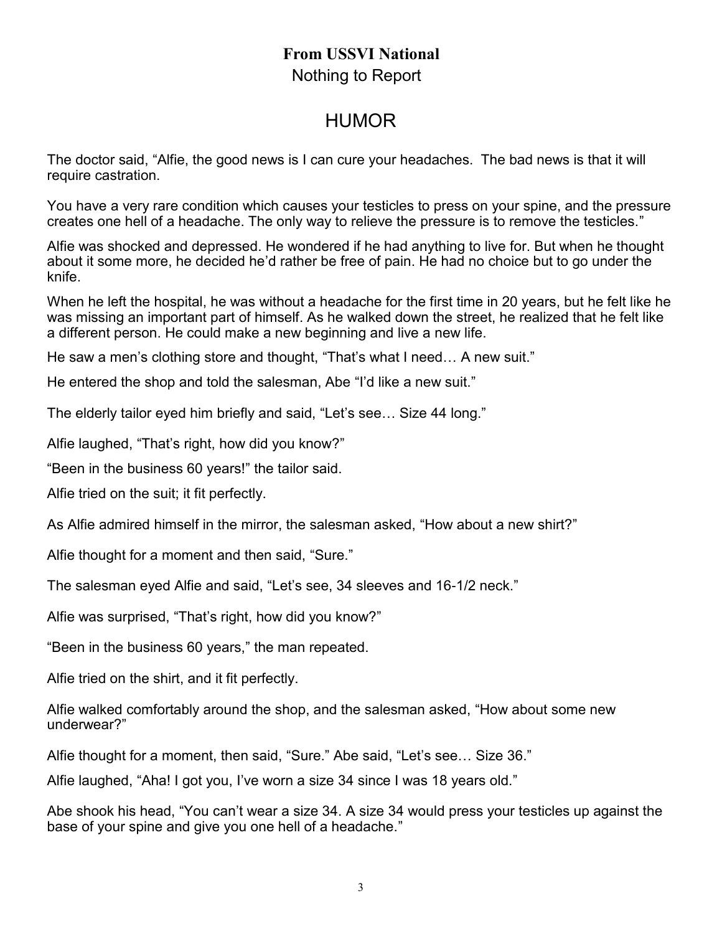### **From USSVI National** Nothing to Report

## HUMOR

The doctor said, "Alfie, the good news is I can cure your headaches. The bad news is that it will require castration.

You have a very rare condition which causes your testicles to press on your spine, and the pressure creates one hell of a headache. The only way to relieve the pressure is to remove the testicles."

Alfie was shocked and depressed. He wondered if he had anything to live for. But when he thought about it some more, he decided he'd rather be free of pain. He had no choice but to go under the knife.

When he left the hospital, he was without a headache for the first time in 20 years, but he felt like he was missing an important part of himself. As he walked down the street, he realized that he felt like a different person. He could make a new beginning and live a new life.

He saw a men's clothing store and thought, "That's what I need... A new suit."

He entered the shop and told the salesman, Abe "I'd like a new suit."

The elderly tailor eyed him briefly and said, "Let's see… Size 44 long."

Alfie laughed, "That's right, how did you know?"

"Been in the business 60 years!" the tailor said.

Alfie tried on the suit; it fit perfectly.

As Alfie admired himself in the mirror, the salesman asked, "How about a new shirt?"

Alfie thought for a moment and then said, "Sure."

The salesman eyed Alfie and said, "Let's see, 34 sleeves and 16-1/2 neck."

Alfie was surprised, "That's right, how did you know?"

"Been in the business 60 years," the man repeated.

Alfie tried on the shirt, and it fit perfectly.

Alfie walked comfortably around the shop, and the salesman asked, "How about some new underwear?"

Alfie thought for a moment, then said, "Sure." Abe said, "Let's see… Size 36."

Alfie laughed, "Aha! I got you, I've worn a size 34 since I was 18 years old."

Abe shook his head, "You can't wear a size 34. A size 34 would press your testicles up against the base of your spine and give you one hell of a headache."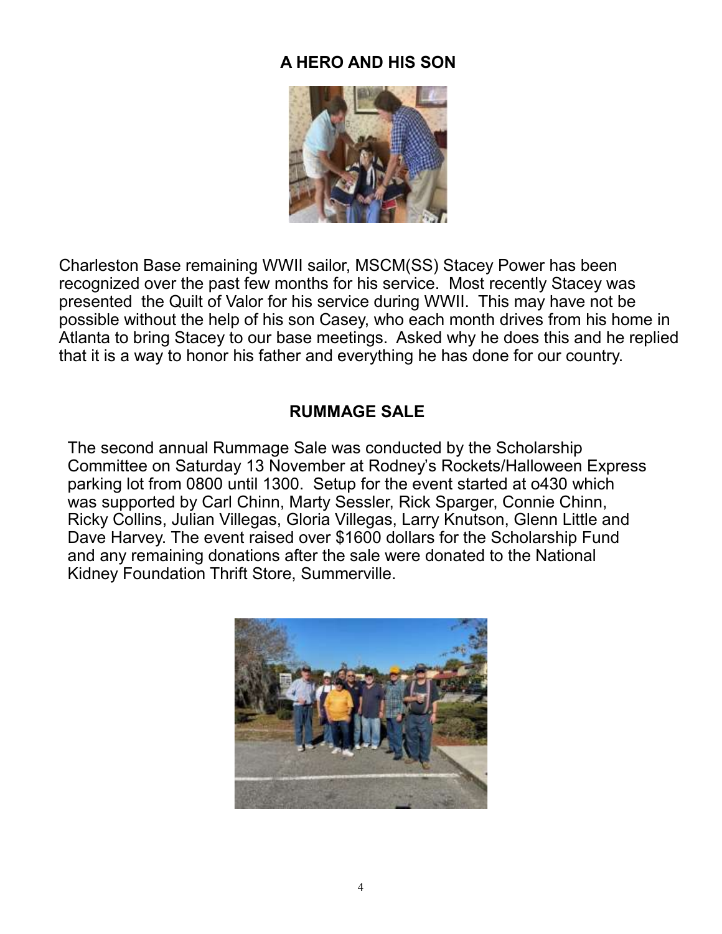#### **A HERO AND HIS SON**



Charleston Base remaining WWII sailor, MSCM(SS) Stacey Power has been recognized over the past few months for his service. Most recently Stacey was presented the Quilt of Valor for his service during WWII. This may have not be possible without the help of his son Casey, who each month drives from his home in Atlanta to bring Stacey to our base meetings. Asked why he does this and he replied that it is a way to honor his father and everything he has done for our country.

#### **RUMMAGE SALE**

The second annual Rummage Sale was conducted by the Scholarship Committee on Saturday 13 November at Rodney's Rockets/Halloween Express parking lot from 0800 until 1300. Setup for the event started at o430 which was supported by Carl Chinn, Marty Sessler, Rick Sparger, Connie Chinn, Ricky Collins, Julian Villegas, Gloria Villegas, Larry Knutson, Glenn Little and Dave Harvey. The event raised over \$1600 dollars for the Scholarship Fund and any remaining donations after the sale were donated to the National Kidney Foundation Thrift Store, Summerville.

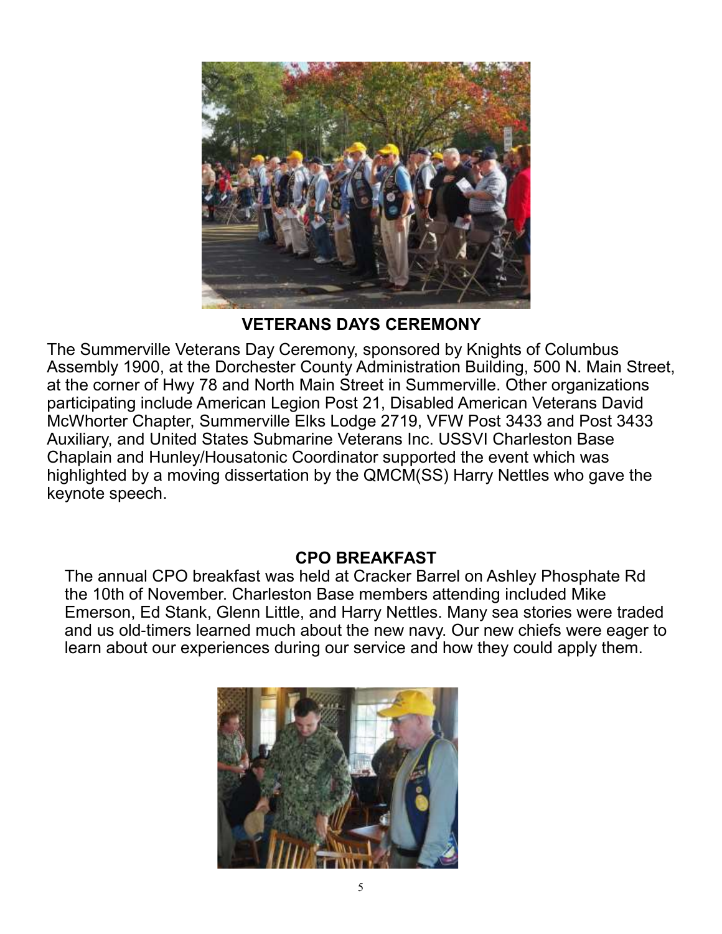

**VETERANS DAYS CEREMONY**

The Summerville Veterans Day Ceremony, sponsored by Knights of Columbus Assembly 1900, at the Dorchester County Administration Building, 500 N. Main Street, at the corner of Hwy 78 and North Main Street in Summerville. Other organizations participating include American Legion Post 21, Disabled American Veterans David McWhorter Chapter, Summerville Elks Lodge 2719, VFW Post 3433 and Post 3433 Auxiliary, and United States Submarine Veterans Inc. USSVI Charleston Base Chaplain and Hunley/Housatonic Coordinator supported the event which was highlighted by a moving dissertation by the QMCM(SS) Harry Nettles who gave the keynote speech.

### **CPO BREAKFAST**

The annual CPO breakfast was held at Cracker Barrel on Ashley Phosphate Rd the 10th of November. Charleston Base members attending included Mike Emerson, Ed Stank, Glenn Little, and Harry Nettles. Many sea stories were traded and us old-timers learned much about the new navy. Our new chiefs were eager to learn about our experiences during our service and how they could apply them.

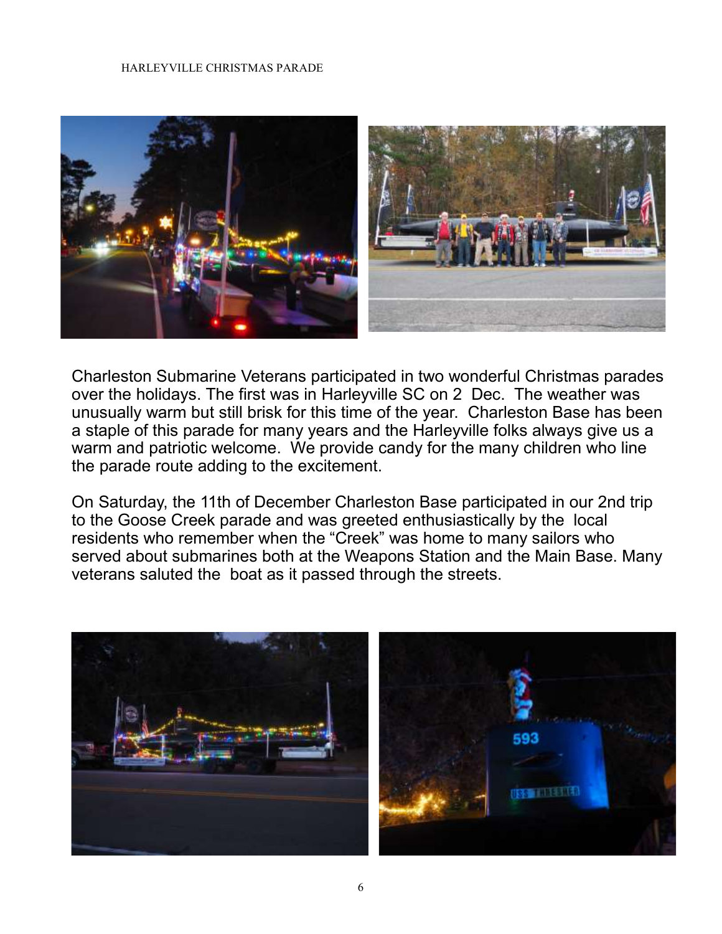#### HARLEYVILLE CHRISTMAS PARADE



Charleston Submarine Veterans participated in two wonderful Christmas parades over the holidays. The first was in Harleyville SC on 2 Dec. The weather was unusually warm but still brisk for this time of the year. Charleston Base has been a staple of this parade for many years and the Harleyville folks always give us a warm and patriotic welcome. We provide candy for the many children who line the parade route adding to the excitement.

On Saturday, the 11th of December Charleston Base participated in our 2nd trip to the Goose Creek parade and was greeted enthusiastically by the local residents who remember when the "Creek" was home to many sailors who served about submarines both at the Weapons Station and the Main Base. Many veterans saluted the boat as it passed through the streets.

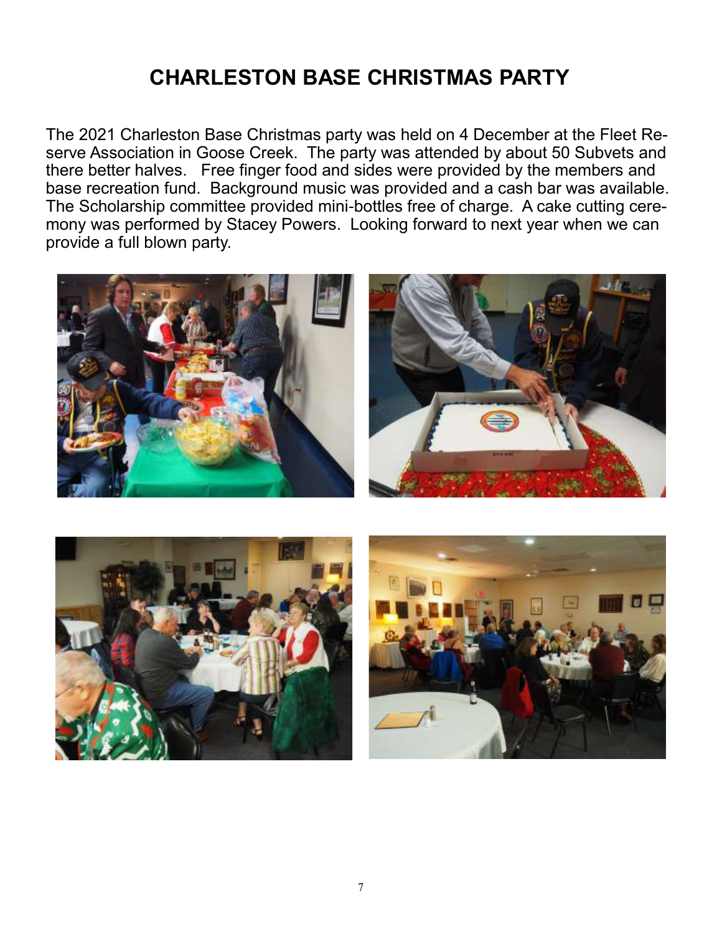# **CHARLESTON BASE CHRISTMAS PARTY**

The 2021 Charleston Base Christmas party was held on 4 December at the Fleet Reserve Association in Goose Creek. The party was attended by about 50 Subvets and there better halves. Free finger food and sides were provided by the members and base recreation fund. Background music was provided and a cash bar was available. The Scholarship committee provided mini-bottles free of charge. A cake cutting ceremony was performed by Stacey Powers. Looking forward to next year when we can provide a full blown party.